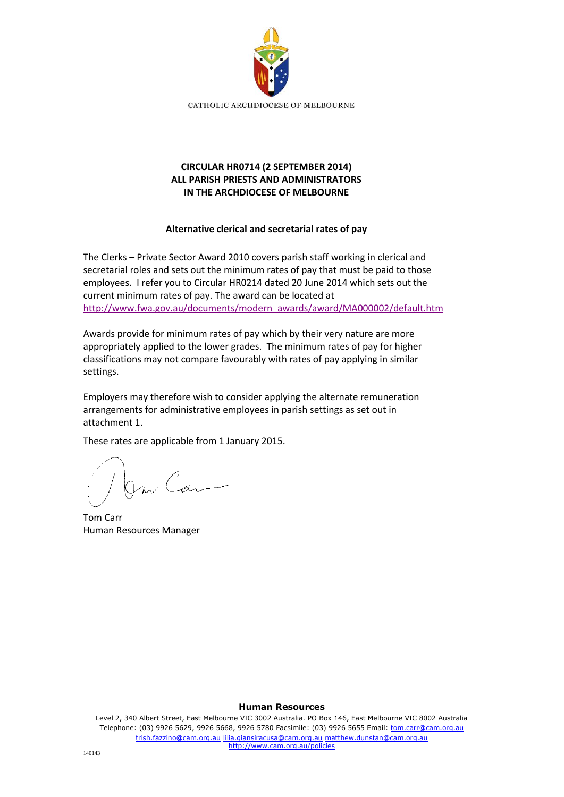

# **CIRCULAR HR0714 (2 SEPTEMBER 2014) ALL PARISH PRIESTS AND ADMINISTRATORS IN THE ARCHDIOCESE OF MELBOURNE**

## **Alternative clerical and secretarial rates of pay**

The Clerks – Private Sector Award 2010 covers parish staff working in clerical and secretarial roles and sets out the minimum rates of pay that must be paid to those employees. I refer you to Circular HR0214 dated 20 June 2014 which sets out the current minimum rates of pay. The award can be located at [http://www.fwa.gov.au/documents/modern\\_awards/award/MA000002/default.htm](http://www.fwa.gov.au/documents/modern_awards/award/MA000002/default.htm)

Awards provide for minimum rates of pay which by their very nature are more appropriately applied to the lower grades. The minimum rates of pay for higher classifications may not compare favourably with rates of pay applying in similar settings.

Employers may therefore wish to consider applying the alternate remuneration arrangements for administrative employees in parish settings as set out in attachment 1.

These rates are applicable from 1 January 2015.

On Can

Tom Carr Human Resources Manager

#### **Human Resources**

Level 2, 340 Albert Street, East Melbourne VIC 3002 Australia. PO Box 146, East Melbourne VIC 8002 Australia Telephone: (03) 9926 5629, 9926 5668, 9926 5780 Facsimile: (03) 9926 5655 Email: tom.carr@cam.org.au trish.fazzino@cam.org.au lilia.giansiracusa@cam.org.au matthew.dunstan@cam.org.au http://www.cam.org.au/policies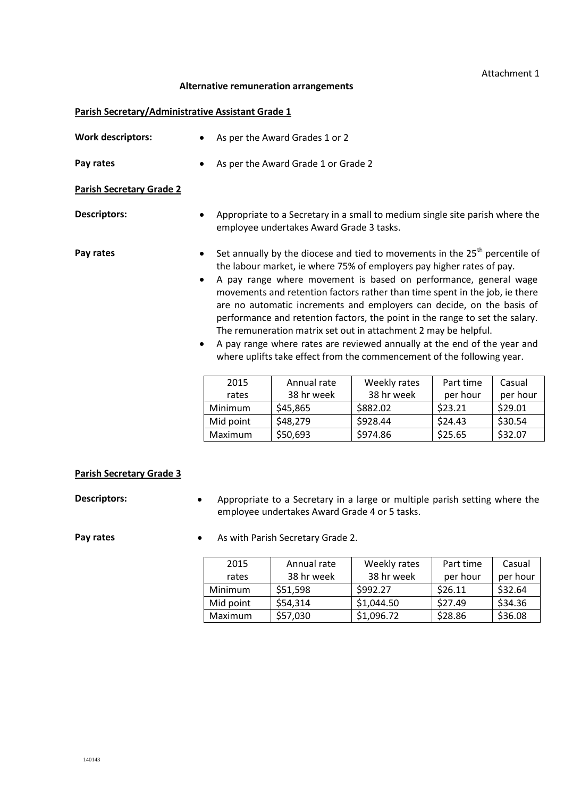### Attachment 1

### **Alternative remuneration arrangements**

### **Parish Secretary/Administrative Assistant Grade 1**

| <b>Work descriptors:</b>        |                                                                                                                                                                                                                                                                                                                                                                                                                                                                                                                                                                                                                                                                                                                         | As per the Award Grades 1 or 2                                                                                           |              |           |          |  |
|---------------------------------|-------------------------------------------------------------------------------------------------------------------------------------------------------------------------------------------------------------------------------------------------------------------------------------------------------------------------------------------------------------------------------------------------------------------------------------------------------------------------------------------------------------------------------------------------------------------------------------------------------------------------------------------------------------------------------------------------------------------------|--------------------------------------------------------------------------------------------------------------------------|--------------|-----------|----------|--|
| Pay rates                       |                                                                                                                                                                                                                                                                                                                                                                                                                                                                                                                                                                                                                                                                                                                         | As per the Award Grade 1 or Grade 2                                                                                      |              |           |          |  |
| <b>Parish Secretary Grade 2</b> |                                                                                                                                                                                                                                                                                                                                                                                                                                                                                                                                                                                                                                                                                                                         |                                                                                                                          |              |           |          |  |
| <b>Descriptors:</b>             |                                                                                                                                                                                                                                                                                                                                                                                                                                                                                                                                                                                                                                                                                                                         | Appropriate to a Secretary in a small to medium single site parish where the<br>employee undertakes Award Grade 3 tasks. |              |           |          |  |
| Pay rates                       | Set annually by the diocese and tied to movements in the 25 <sup>th</sup> percentile of<br>the labour market, ie where 75% of employers pay higher rates of pay.<br>A pay range where movement is based on performance, general wage<br>٠<br>movements and retention factors rather than time spent in the job, ie there<br>are no automatic increments and employers can decide, on the basis of<br>performance and retention factors, the point in the range to set the salary.<br>The remuneration matrix set out in attachment 2 may be helpful.<br>A pay range where rates are reviewed annually at the end of the year and<br>$\bullet$<br>where uplifts take effect from the commencement of the following year. |                                                                                                                          |              |           |          |  |
|                                 | 2015                                                                                                                                                                                                                                                                                                                                                                                                                                                                                                                                                                                                                                                                                                                    | Annual rate                                                                                                              | Weekly rates | Part time | Casual   |  |
|                                 | rates                                                                                                                                                                                                                                                                                                                                                                                                                                                                                                                                                                                                                                                                                                                   | 38 hr week                                                                                                               | 38 hr week   | per hour  | per hour |  |
|                                 | Minimum                                                                                                                                                                                                                                                                                                                                                                                                                                                                                                                                                                                                                                                                                                                 | \$45,865                                                                                                                 | \$882.02     | \$23.21   | \$29.01  |  |
|                                 | Mid point                                                                                                                                                                                                                                                                                                                                                                                                                                                                                                                                                                                                                                                                                                               | \$48,279                                                                                                                 | \$928.44     | \$24.43   | \$30.54  |  |
|                                 | Maximum                                                                                                                                                                                                                                                                                                                                                                                                                                                                                                                                                                                                                                                                                                                 | \$50,693                                                                                                                 | \$974.86     | \$25.65   | \$32.07  |  |

#### **Parish Secretary Grade 3**

**Descriptors:** • Appropriate to a Secretary in a large or multiple parish setting where the employee undertakes Award Grade 4 or 5 tasks.

**Pay rates •** As with Parish Secretary Grade 2.

2015 rates Annual rate 38 hr week<br>\$51,598 Weekly rates 38 hr week Part time per hour Casual per hour Minimum  $\frac{1}{51,598}$   $\frac{1}{5992.27}$   $\frac{1}{526.11}$   $\frac{1}{532.64}$ Mid point  $\begin{array}{|l} \n\sqrt{54,314} \\
\end{array}$   $\begin{array}{|l} \n\sqrt{51,044.50} \\
\end{array}$   $\begin{array}{|l} \n\sqrt{527.49} \\
\end{array}$   $\begin{array}{|l} \n\sqrt{534.36} \\
\end{array}$ Maximum \$57,030 \$1,096.72 \$28.86 \$36.08